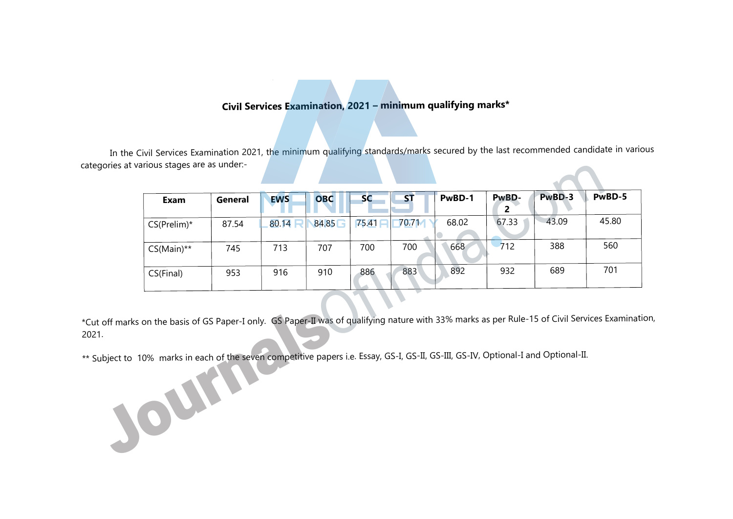# **Civil Services Examination, 2021 – minimum qualifying marks\***

In the Civil Services Examination 2021, the minimum qualifying standards/marks secured by the last recommended candidate in various categories at various stages are as under:-

| Exam            | General | <b>EWS</b> | <b>OBC</b> | <b>SC</b> | <b>ST</b> | PwBD-1 | PwBD-<br>2 | PwBD-3 | PwBD-5 |
|-----------------|---------|------------|------------|-----------|-----------|--------|------------|--------|--------|
| $CS(Prelim)^*$  | 87.54   | 80.14      | 84.85      | 75.41     | 70.7M     | 68.02  | 67.33      | 43.09  | 45.80  |
| $CS(Main)^{**}$ | 745     | 713        | 707        | 700       | 700       | 668    | 712        | 388    | 560    |
| CS(Final)       | 953     | 916        | 910        | 886       | 883       | 892    | 932        | 689    | 701    |

\*Cut off marks on the basis of GS Paper-I only. GS Paper-II was of qualifying nature with 33% marks as per Rule-15 of Civil Services Examination, 2021.

\*\* Subject to 10% marks in each of the seven competitive papers i.e. Essay, GS-I, GS-II, GS-III, GS-IV, Optional-I and Optional-II. Journalsof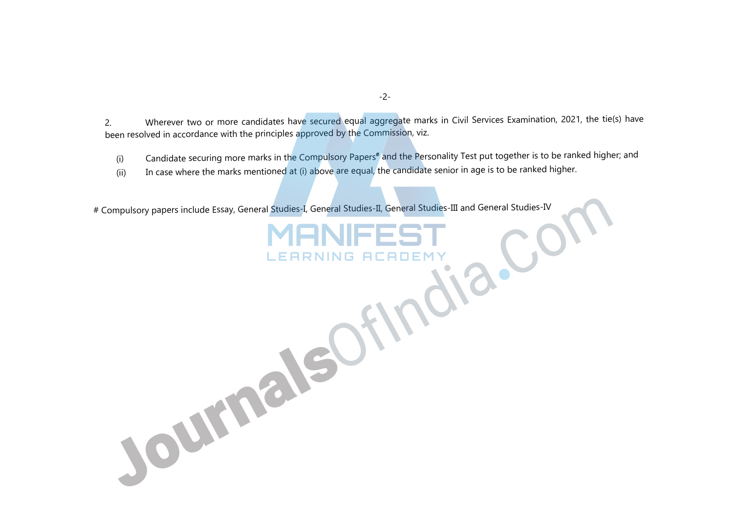2. Wherever two or more candidates have secured equal aggregate marks in Civil Services Examination, 2021, the tie(s) have been resolved in accordance with the principles approved by the Commission, viz.

(i) Candidate securing more marks in the Compulsory Papers**#** and the Personality Test put together is to be ranked higher; and

(ii) In case where the marks mentioned at (i) above are equal, the candidate senior in age is to be ranked higher.

# Compulsory papers include Essay, General Studies-I, General Studies-II, General Studies-III and General Studies-IV

JournalsOfIndia.C

-2-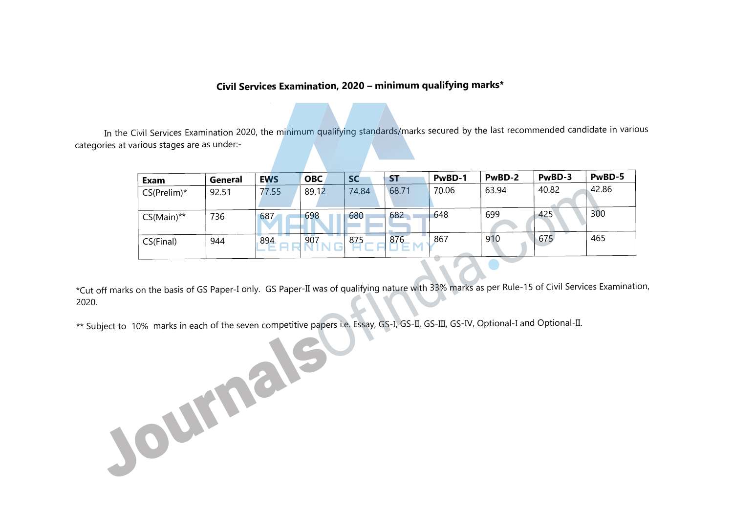# **Civil Services Examination, 2020 – minimum qualifying marks\***

In the Civil Services Examination 2020, the minimum qualifying standards/marks secured by the last recommended candidate in various categories at various stages are as under:-

| Exam            | General | <b>EWS</b> | <b>OBC</b> | <b>SC</b> | <b>ST</b> | PwBD-1 | PwBD-2 | PwBD-3 | PwBD-5 |
|-----------------|---------|------------|------------|-----------|-----------|--------|--------|--------|--------|
| $CS(Prelim)^*$  | 92.51   | 77.55      | 89.12      | 74.84     | 68.71     | 70.06  | 63.94  | 40.82  | 42.86  |
| $CS(Main)^{**}$ | 736     | 687        | 698        | 680       | 682       | 648    | 699    | 425    | 300    |
| CS(Final)       | 944     | 894        | 907        | 875       | 876       | 867    | 910    | 675    | 465    |

\*Cut off marks on the basis of GS Paper-I only. GS Paper-II was of qualifying nature with 33% marks as per Rule-15 of Civil Services Examination, 2020.

\*\* Subject to 10% marks in each of the seven competitive papers i.e. Essay, GS-I, GS-II, GS-III, GS-IV, Optional-I and Optional-II. Journals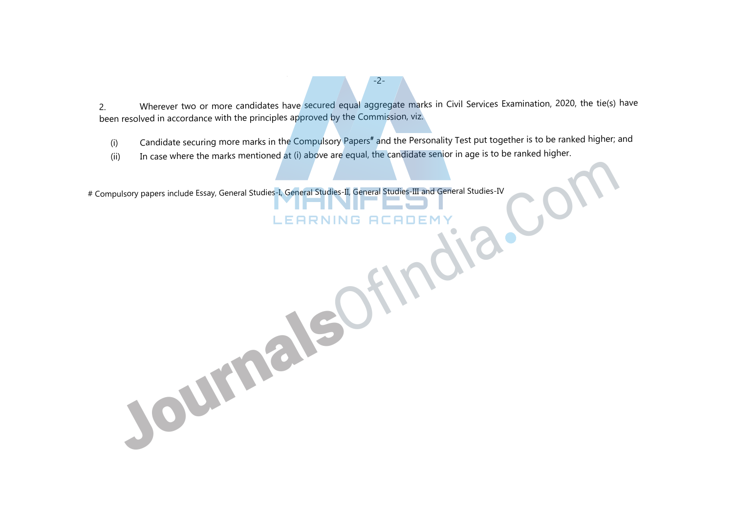2. Wherever two or more candidates have secured equal aggregate marks in Civil Services Examination, 2020, the tie(s) have been resolved in accordance with the principles approved by the Commission, viz.

-2-

(i) Candidate securing more marks in the Compulsory Papers**#** and the Personality Test put together is to be ranked higher; and

(ii) In case where the marks mentioned at (i) above are equal, the candidate senior in age is to be ranked higher.

# Compulsory papers include Essay, General Studies-I, General Studies-II, General Studies-III and General Studies-IV

JournalsOfInd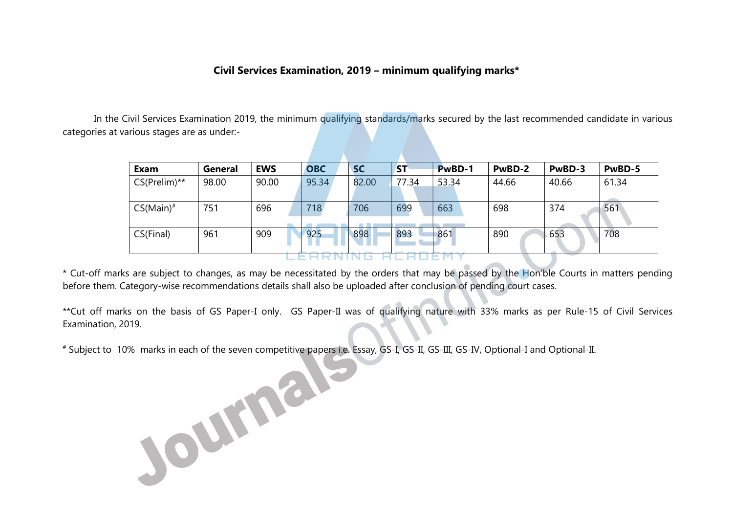# Civil Services Examination, 2019 – minimum qualifying marks\*

 In the Civil Services Examination 2019, the minimum qualifying standards/marks secured by the last recommended candidate in various categories at various stages are as under:-

| Exam            | General | <b>EWS</b> | <b>OBC</b> | <b>SC</b> | <b>ST</b> | PwBD-1 | PwBD-2 | PwBD-3 | PwBD-5 |
|-----------------|---------|------------|------------|-----------|-----------|--------|--------|--------|--------|
| $CS(Prelim)$ ** | 98.00   | 90.00      | 95.34      | 82.00     | 77.34     | 53.34  | 44.66  | 40.66  | 61.34  |
|                 |         |            |            |           |           |        |        |        |        |
| $CS(Main)^*$    | 751     | 696        | 718        | 706       | 699       | 663    | 698    | 374    | 561    |
|                 |         |            |            |           |           |        |        |        |        |
| CS(Final)       | 961     | 909        | 925        | 898       | 893       | 861    | 890    | 653    | 708    |
|                 |         |            |            |           |           |        |        |        |        |
|                 |         |            |            |           |           |        |        |        |        |

\* Cut-off marks are subject to changes, as may be necessitated by the orders that may be passed by the Hon'ble Courts in matters pending before them. Category-wise recommendations details shall also be uploaded after conclusion of pending court cases.

\*\*Cut off marks on the basis of GS Paper-I only. GS Paper-II was of qualifying nature with 33% marks as per Rule-15 of Civil Services Examination, 2019.

# Subject to 10% marks in each of the seven competitive papers i.e. Essay, GS-I, GS-II, GS-III, GS-IV, Optional-I and Optional-II.

Journal<sup>sperie</sup>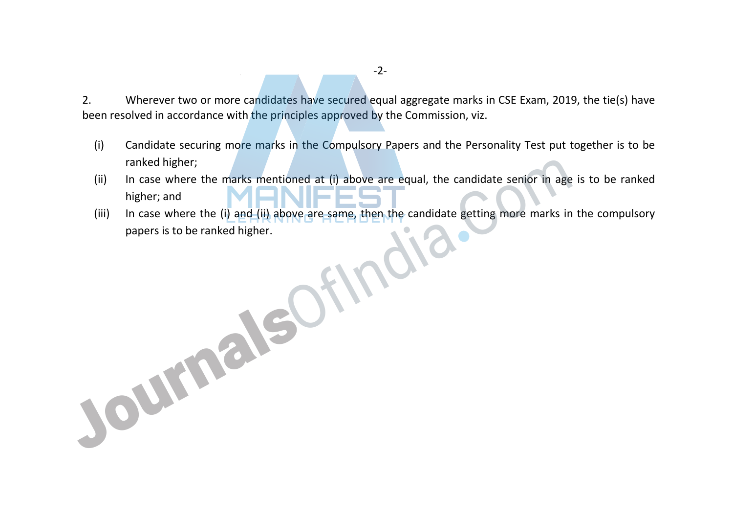2. Wherever two or more candidates have secured equal aggregate marks in CSE Exam, 2019, the tie(s) have been resolved in accordance with the principles approved by the Commission, viz.

- (i) Candidate securing more marks in the Compulsory Papers and the Personality Test put together is to be ranked higher;
- (ii) In case where the marks mentioned at (i) above are equal, the candidate senior in age is to be ranked higher; and
- (iii) In case where the (i) and (ii) above are same, then the candidate getting more marks in the compulsory papers is to be ranked higher.

Journalsof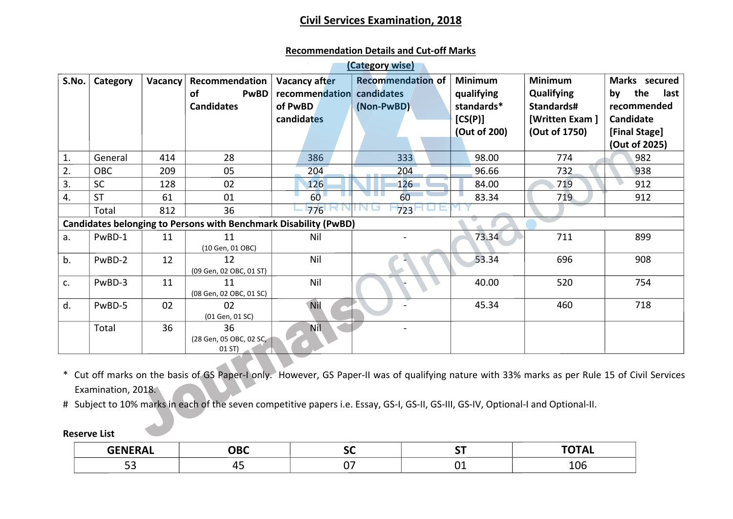# **<u>Civil Services Examination, 2018</u>**

#### **Recommendation Details and Cut-off Marks**

|       |                     |                |                                                                  |                                                                            | (Category wise)                                                                                                                                                                                                                                                                      |                                                                       |                                                                               |                                                                                        |
|-------|---------------------|----------------|------------------------------------------------------------------|----------------------------------------------------------------------------|--------------------------------------------------------------------------------------------------------------------------------------------------------------------------------------------------------------------------------------------------------------------------------------|-----------------------------------------------------------------------|-------------------------------------------------------------------------------|----------------------------------------------------------------------------------------|
| S.No. | Category            | <b>Vacancy</b> | Recommendation<br><b>of</b><br><b>PwBD</b><br><b>Candidates</b>  | <b>Vacancy after</b><br>recommendation candidates<br>of PwBD<br>candidates | <b>Recommendation of</b><br>(Non-PwBD)                                                                                                                                                                                                                                               | <b>Minimum</b><br>qualifying<br>standards*<br>[CS(P)]<br>(Out of 200) | <b>Minimum</b><br>Qualifying<br>Standards#<br>[Written Exam]<br>(Out of 1750) | Marks secured<br>the<br>last<br>by<br>recommended<br><b>Candidate</b><br>[Final Stage] |
|       |                     |                |                                                                  |                                                                            |                                                                                                                                                                                                                                                                                      |                                                                       |                                                                               | (Out of 2025)                                                                          |
| 1.    | General             | 414            | 28                                                               | 386                                                                        | 333                                                                                                                                                                                                                                                                                  | 98.00                                                                 | 774                                                                           | 982                                                                                    |
| 2.    | <b>OBC</b>          | 209            | 05                                                               | 204                                                                        | 204                                                                                                                                                                                                                                                                                  | 96.66                                                                 | 732                                                                           | 938                                                                                    |
| 3.    | <b>SC</b>           | 128            | 02                                                               | 126                                                                        | 126                                                                                                                                                                                                                                                                                  | 84.00                                                                 | 719                                                                           | 912                                                                                    |
| 4.    | <b>ST</b>           | 61             | 01                                                               | 60 <sup>1</sup>                                                            | 60                                                                                                                                                                                                                                                                                   | 83.34                                                                 | 719                                                                           | 912                                                                                    |
|       | Total               | 812            | 36                                                               | 776                                                                        | 723                                                                                                                                                                                                                                                                                  |                                                                       |                                                                               |                                                                                        |
|       |                     |                | Candidates belonging to Persons with Benchmark Disability (PwBD) |                                                                            |                                                                                                                                                                                                                                                                                      |                                                                       |                                                                               |                                                                                        |
| a.    | PwBD-1              | 11             | 11<br>(10 Gen, 01 OBC)                                           | Nil                                                                        |                                                                                                                                                                                                                                                                                      | 73.34                                                                 | 711                                                                           | 899                                                                                    |
| b.    | PwBD-2              | 12             | 12<br>(09 Gen, 02 OBC, 01 ST)                                    | Nil                                                                        |                                                                                                                                                                                                                                                                                      | 53.34                                                                 | 696                                                                           | 908                                                                                    |
| c.    | PwBD-3              | 11             | 11<br>(08 Gen, 02 OBC, 01 SC)                                    | Nil                                                                        |                                                                                                                                                                                                                                                                                      | 40.00                                                                 | 520                                                                           | 754                                                                                    |
| d.    | PwBD-5              | 02             | 02<br>(01 Gen, 01 SC)                                            | Nil                                                                        |                                                                                                                                                                                                                                                                                      | 45.34                                                                 | 460                                                                           | 718                                                                                    |
|       | Total               | 36             | 36<br>(28 Gen, 05 OBC, 02 SC,<br>01 ST)                          | <b>Nil</b>                                                                 |                                                                                                                                                                                                                                                                                      |                                                                       |                                                                               |                                                                                        |
|       | Examination, 2018.  |                |                                                                  |                                                                            | * Cut off marks on the basis of GS Paper-I only. However, GS Paper-II was of qualifying nature with 33% marks as per Rule 15 of Civil Services<br># Subject to 10% marks in each of the seven competitive papers i.e. Essay, GS-I, GS-II, GS-III, GS-IV, Optional-I and Optional-II. |                                                                       |                                                                               |                                                                                        |
|       | <b>Reserve List</b> |                |                                                                  |                                                                            |                                                                                                                                                                                                                                                                                      |                                                                       |                                                                               |                                                                                        |

### **Reserve List**

| -------<br><b>TIL</b> |     | --       | -----         |
|-----------------------|-----|----------|---------------|
|                       | . . | ``<br>-- | $\sim$<br>⊥∪⊾ |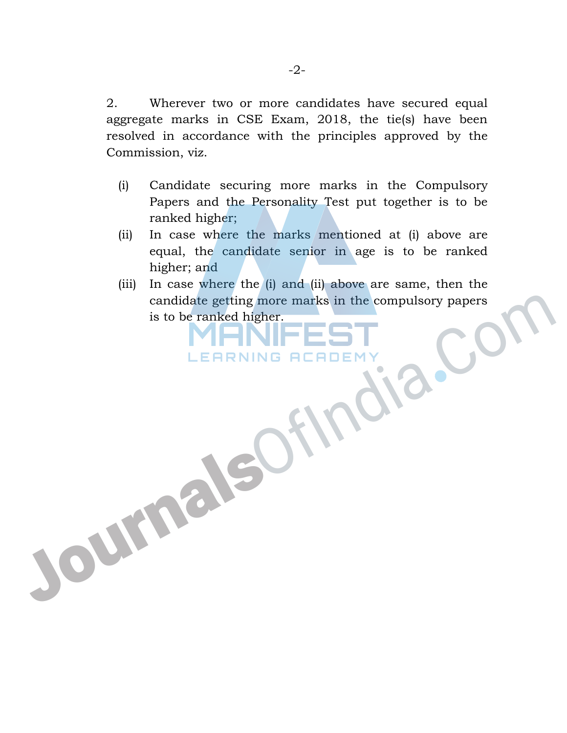2. Wherever two or more candidates have secured equal aggregate marks in CSE Exam, 2018, the tie(s) have been resolved in accordance with the principles approved by the Commission, viz.

- (i) Candidate securing more marks in the Compulsory Papers and the Personality Test put together is to be ranked higher;
- (ii) In case where the marks mentioned at (i) above are equal, the candidate senior in age is to be ranked higher; and
- (iii) In case where the (i) and (ii) above are same, then the candidate getting more marks in the compulsory papers is to be ranked higher.

JournalsOfIn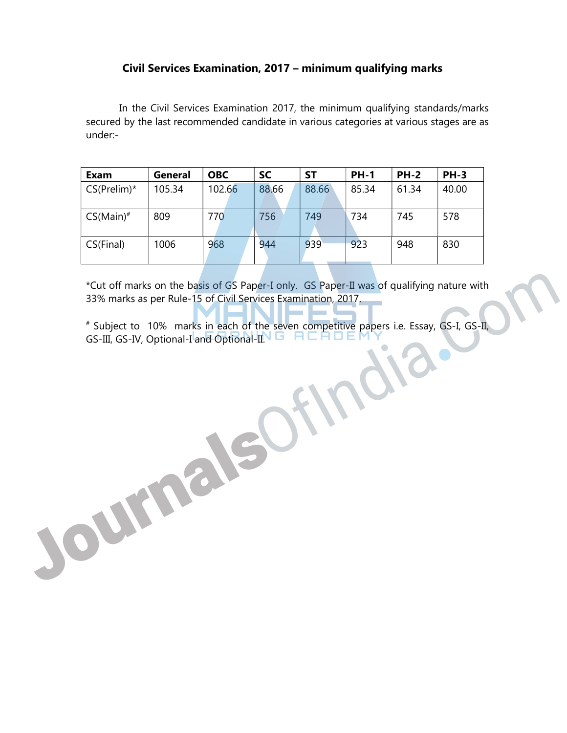# Civil Services Examination, 2017 – minimum qualifying marks

 In the Civil Services Examination 2017, the minimum qualifying standards/marks secured by the last recommended candidate in various categories at various stages are as under:-

| Exam           | General | <b>OBC</b> | <b>SC</b> | SΤ    | <b>PH-1</b> | <b>PH-2</b> | <b>PH-3</b> |
|----------------|---------|------------|-----------|-------|-------------|-------------|-------------|
| $CS(Prelim)^*$ | 105.34  | 102.66     | 88.66     | 88.66 | 85.34       | 61.34       | 40.00       |
|                |         |            |           |       |             |             |             |
| $CS(Main)^*$   | 809     | 770        | 756       | 749   | 734         | 745         | 578         |
| CS(Final)      | 1006    | 968        | 944       | 939   | 923         | 948         | 830         |

\*Cut off marks on the basis of GS Paper-I only. GS Paper-II was of qualifying nature with 33% marks as per Rule-15 of Civil Services Examination, 2017.

# Subject to 10% marks in each of the seven competitive papers i.e. Essay, GS-I, GS-II, GS-III, GS-IV, Optional-I and Optional-II.

Journalso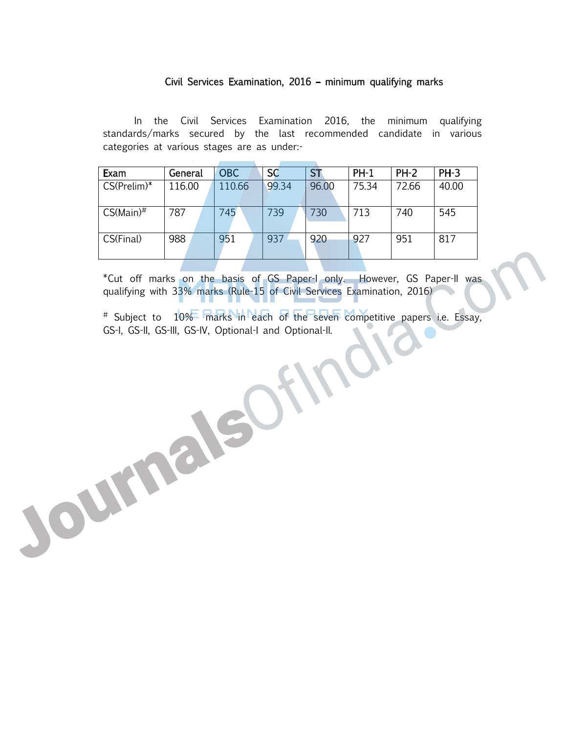#### Civil Services Examination, 2016 – minimum qualifying marks

 In the Civil Services Examination 2016, the minimum qualifying standards/marks secured by the last recommended candidate in various categories at various stages are as under:-

| Exam            | General | <b>OBC</b> | <b>SC</b> | <b>ST</b> | $PH-1$ | $PH-2$ | $PH-3$ |
|-----------------|---------|------------|-----------|-----------|--------|--------|--------|
| $CS(Prelim)*$   | 116.00  | 110.66     | 99.34     | 96.00     | 75.34  | 72.66  | 40.00  |
| $CS(Main)^{\#}$ | 787     | 745        | 739       | 730       | 713    | 740    | 545    |
| CS(Final)       | 988     | 951        | 937       | 920       | 927    | 951    | 817    |

\*Cut off marks on the basis of GS Paper-I only. However, GS Paper-II was qualifying with 33% marks (Rule-15 of Civil Services Examination, 2016)

# Subject to 10% marks in each of the seven competitive papers i.e. Essay, GS-I, GS-II, GS-III, GS-IV, Optional-I and Optional-II.

JournalsOf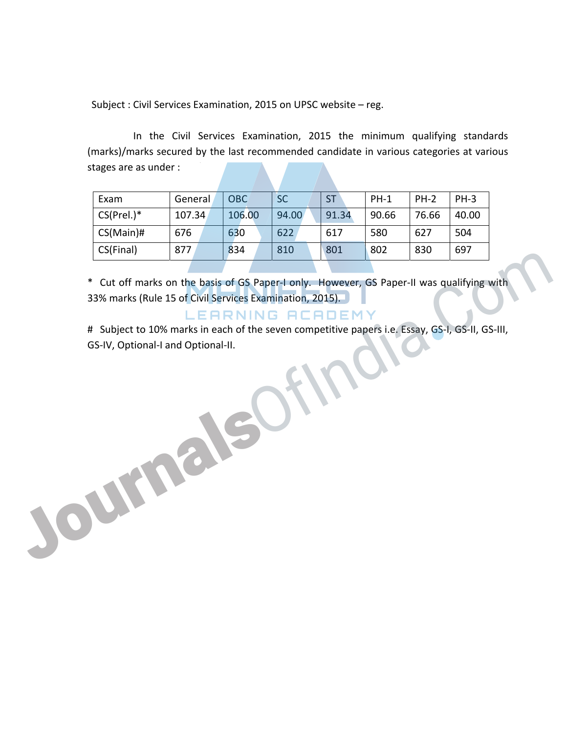Subject : Civil Services Examination, 2015 on UPSC website – reg.

 In the Civil Services Examination, 2015 the minimum qualifying standards (marks)/marks secured by the last recommended candidate in various categories at various stages are as under :

| Exam          | General | <b>OBC</b> | <b>SC</b> | <b>ST</b> | $PH-1$ | $PH-2$ | <b>PH-3</b> |
|---------------|---------|------------|-----------|-----------|--------|--------|-------------|
| $CS(Prel.)^*$ | 107.34  | 106.00     | 94.00     | 91.34     | 90.66  | 76.66  | 40.00       |
| $CS(Main)$ #  | 676     | 630        | 622       | 617       | 580    | 627    | 504         |
| CS(Final)     | 877     | 834        | 810       | 801       | 802    | 830    | 697         |
|               |         |            |           |           |        |        |             |

\* Cut off marks on the basis of GS Paper-I only. However, GS Paper-II was qualifying with 33% marks (Rule 15 of Civil Services Examination, 2015). GSFINGI) 8/7 834 800 800 802 830 97<br>
Cut off marks on the basis of GS Paper-I only. However, GS Paper-II was qualifying with<br>
33% marks (Rule 15 of Civil Services Examination, 2015).<br>
# Subject to 10% marks in each of the

# Subject to 10% marks in each of the seven competitive papers i.e. Essay, GS-I, GS-II, GS-III,